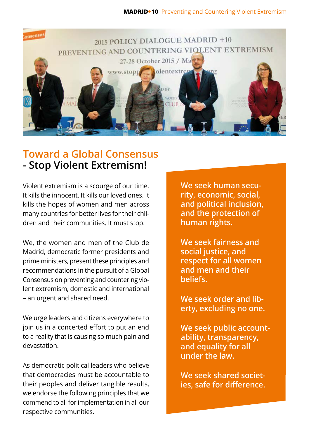

# **Toward a Global Consensus - Stop Violent Extremism!**

Violent extremism is a scourge of our time. It kills the innocent. It kills our loved ones. It kills the hopes of women and men across many countries for better lives for their children and their communities. It must stop.

We, the women and men of the Club de Madrid, democratic former presidents and prime ministers, present these principles and recommendations in the pursuit of a Global Consensus on preventing and countering violent extremism, domestic and international – an urgent and shared need.

We urge leaders and citizens everywhere to ioin us in a concerted effort to put an end to a reality that is causing so much pain and devastation.

As democratic political leaders who believe that democracies must be accountable to their peoples and deliver tangible results, we endorse the following principles that we commend to all for implementation in all our respective communities.

**We seek human security, economic, social, and political inclusion, and the protection of human rights.**

**We seek fairness and social justice, and respect for all women and men and their beliefs.**

**We seek order and liberty, excluding no one.**

**We seek public accountability, transparency, and equality for all under the law.**

**We seek shared societies, safe for difference.**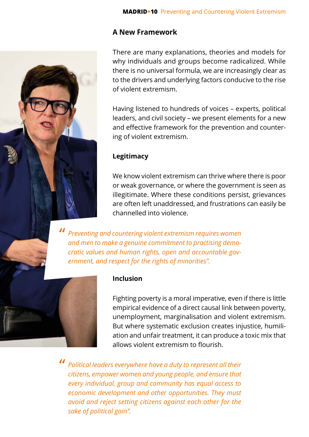## **A New Framework**

There are many explanations, theories and models for why individuals and groups become radicalized. While there is no universal formula, we are increasingly clear as to the drivers and underlying factors conducive to the rise of violent extremism.

Having listened to hundreds of voices – experts, political leaders, and civil society – we present elements for a new and effective framework for the prevention and countering of violent extremism.

## **Legitimacy**

We know violent extremism can thrive where there is poor or weak governance, or where the government is seen as illegitimate. Where these conditions persist, grievances are often left unaddressed, and frustrations can easily be channelled into violence.

*Preventing and countering violent extremism requires women and men to make a genuine commitment to practising democratic values and human rights, open and accountable government, and respect for the rights of minorities".* 



### **Inclusion**

Fighting poverty is a moral imperative, even if there is little empirical evidence of a direct causal link between poverty, unemployment, marginalisation and violent extremism. But where systematic exclusion creates injustice, humiliation and unfair treatment, it can produce a toxic mix that allows violent extremism to flourish.

*Political leaders everywhere have a duty to represent all their citizens, empower women and young people, and ensure that every individual, group and community has equal access to economic development and other opportunities. They must avoid and reject setting citizens against each other for the sake of political gain".*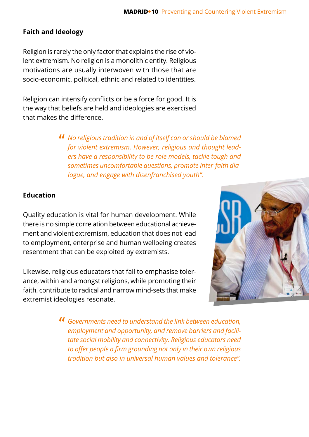## **Faith and Ideology**

Religion is rarely the only factor that explains the rise of violent extremism. No religion is a monolithic entity. Religious motivations are usually interwoven with those that are socio-economic, political, ethnic and related to identities.

Religion can intensify conflicts or be a force for good. It is the way that beliefs are held and ideologies are exercised that makes the difference.

> *No religious tradition in and of itself can or should be blamed for violent extremism. However, religious and thought leaders have a responsibility to be role models, tackle tough and sometimes uncomfortable questions, promote inter-faith dialogue, and engage with disenfranchised youth".*

## **Education**

Quality education is vital for human development. While there is no simple correlation between educational achievement and violent extremism, education that does not lead to employment, enterprise and human wellbeing creates resentment that can be exploited by extremists.

Likewise, religious educators that fail to emphasise tolerance, within and amongst religions, while promoting their faith, contribute to radical and narrow mind-sets that make extremist ideologies resonate.



*Governments need to understand the link between education, employment and opportunity, and remove barriers and facilitate social mobility and connectivity. Religious educators need to offer people a firm grounding not only in their own religious tradition but also in universal human values and tolerance".*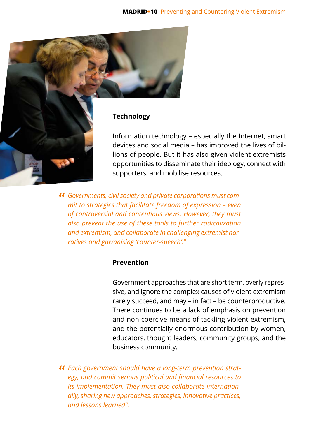

*Governments, civil society and private corporations must commit to strategies that facilitate freedom of expression – even of controversial and contentious views. However, they must also prevent the use of these tools to further radicalization and extremism, and collaborate in challenging extremist narratives and galvanising 'counter-speech'."* 

#### **Prevention**

Government approaches that are short term, overly repressive, and ignore the complex causes of violent extremism rarely succeed, and may – in fact – be counterproductive. There continues to be a lack of emphasis on prevention and non-coercive means of tackling violent extremism, and the potentially enormous contribution by women, educators, thought leaders, community groups, and the business community.

*Each government should have a long-term prevention strategy, and commit serious political and financial resources to its implementation. They must also collaborate internationally, sharing new approaches, strategies, innovative practices, and lessons learned".*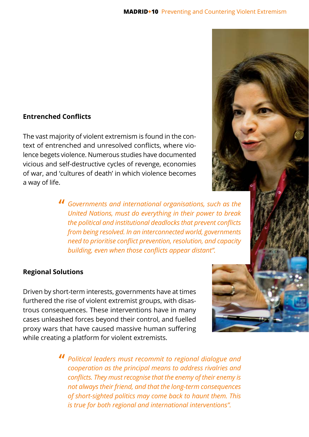## **Entrenched Conflicts**

The vast majority of violent extremism is found in the context of entrenched and unresolved conflicts, where violence begets violence. Numerous studies have documented vicious and self-destructive cycles of revenge, economies of war, and 'cultures of death' in which violence becomes a way of life.

> *Governments and international organisations, such as the United Nations, must do everything in their power to break the political and institutional deadlocks that prevent conflicts from being resolved. In an interconnected world, governments need to prioritise conflict prevention, resolution, and capacity building, even when those conflicts appear distant".*

#### **Regional Solutions**

Driven by short-term interests, governments have at times furthered the rise of violent extremist groups, with disastrous consequences. These interventions have in many cases unleashed forces beyond their control, and fuelled proxy wars that have caused massive human suffering while creating a platform for violent extremists.

> *Political leaders must recommit to regional dialogue and cooperation as the principal means to address rivalries and conflicts. They must recognise that the enemy of their enemy is not always their friend, and that the long-term consequences of short-sighted politics may come back to haunt them. This is true for both regional and international interventions".*